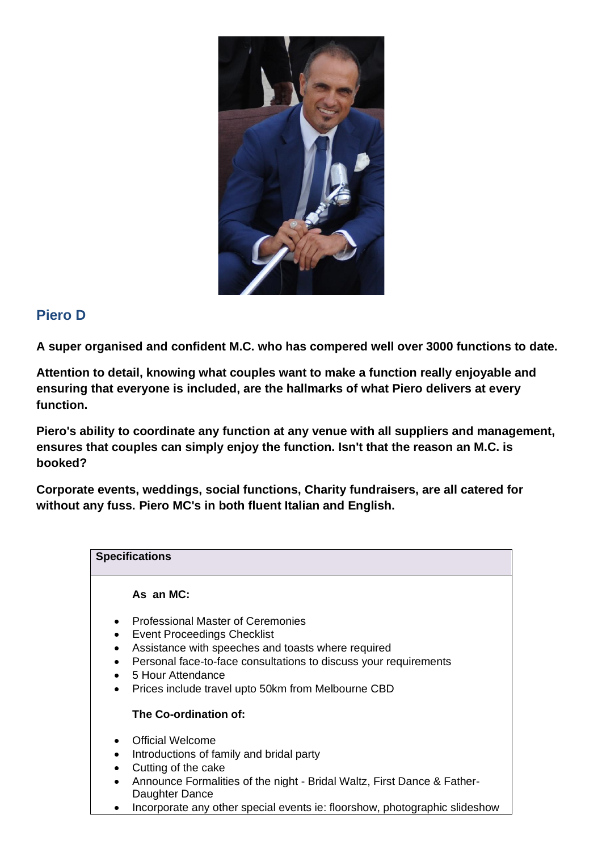

## **Piero D**

**A super organised and confident M.C. who has compered well over 3000 functions to date.**

**Attention to detail, knowing what couples want to make a function really enjoyable and ensuring that everyone is included, are the hallmarks of what Piero delivers at every function.**

**Piero's ability to coordinate any function at any venue with all suppliers and management, ensures that couples can simply enjoy the function. Isn't that the reason an M.C. is booked?**

**Corporate events, weddings, social functions, Charity fundraisers, are all catered for without any fuss. Piero MC's in both fluent Italian and English.**